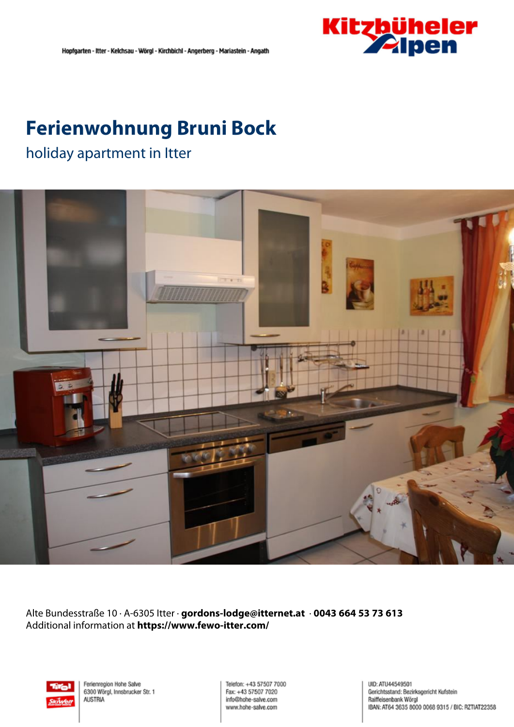

## **Ferienwohnung Bruni Bock**

### holiday apartment in Itter



Alte Bundesstraße 10 · A-6305 Itter · **gordons-lodge@itternet.at** · **0043 664 53 73 613** Additional information at **https://www.fewo-itter.com/**



Ferienregion Hohe Salve 6300 Wörgl, Innsbrucker Str. 1 **AUSTRIA** 

Telefon: +43 57507 7000 Fax: +43 57507 7020 info@hohe-salve.com www.hohe-salve.com

UID: ATU44549501 Gerichtsstand: Bezirksgericht Kufstein Raiffeisenbank Wörgl IBAN: AT64 3635 8000 0068 9315 / BIC: RZTIAT22358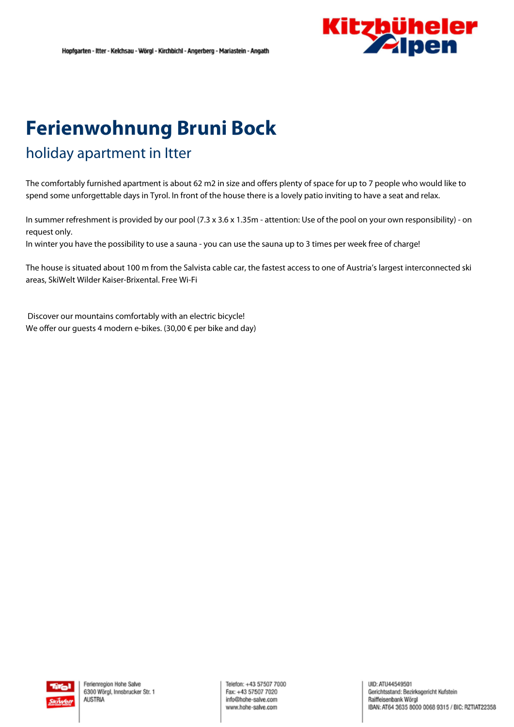

# **Ferienwohnung Bruni Bock**

## holiday apartment in Itter

The comfortably furnished apartment is about 62 m2 in size and offers plenty of space for up to <sup>7</sup> people who would like to spend some unforgettable days in Tyrol. In front of the house there is <sup>a</sup> lovely patio inviting to have <sup>a</sup> seat and relax.

In summer refreshment is provided by our pool (7.3 <sup>x</sup> 3.6 <sup>x</sup> 1.35m - attention: Use of the pool on your own responsibility) - on request only.

In winter you have the possibility to use <sup>a</sup> sauna - you can use the sauna up to 3 times per week free of charge!

The house is situated about 100 <sup>m</sup> from the Salvista cable car, the fastest access to one of Austria's largest interconnected ski areas, SkiWelt Wilder Kaiser-Brixental. Free Wi-Fi

Discover our mountains comfortably with an electric bicycle! We offer our guests 4 modern e-bikes. (30,00 € per bike and day)

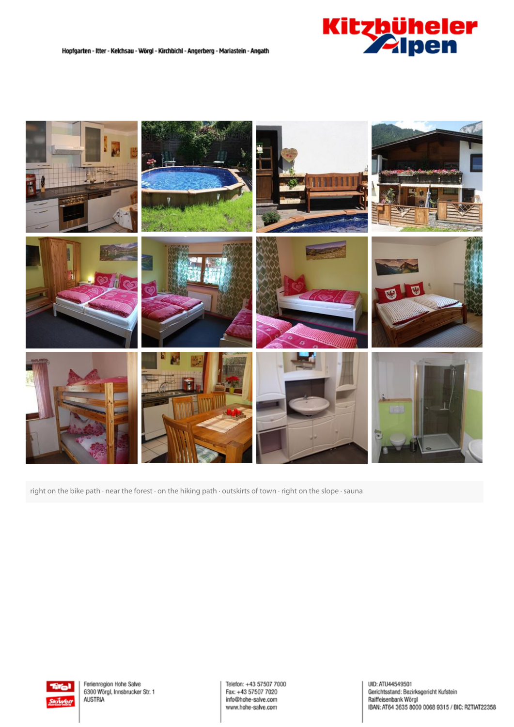



right on the bike path · near the forest · on the hiking path · outskirts of town · right on the slope · sauna



Ferienregion Hohe Salve 6300 Wörgl, Innsbrucker Str. 1 **AUSTRIA** 

Telefon: +43 57507 7000 Fax: +43 57507 7020 info@hohe-salve.com www.hohe-salve.com

UID: ATU44549501 olic, Ario-433-8307<br>Gerichtsstand: Bezirksgericht Kufstein<br>Raiffeisenbank Wörgl